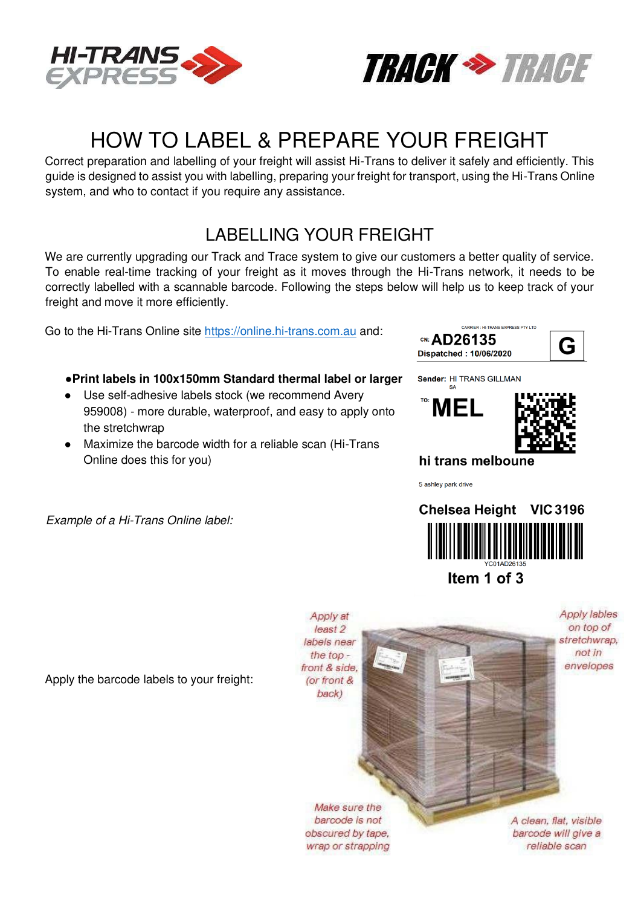



# HOW TO LABEL & PREPARE YOUR FREIGHT

Correct preparation and labelling of your freight will assist Hi-Trans to deliver it safely and efficiently. This guide is designed to assist you with labelling, preparing your freight for transport, using the Hi-Trans Online system, and who to contact if you require any assistance.

## LABELLING YOUR FREIGHT

We are currently upgrading our Track and Trace system to give our customers a better quality of service. To enable real-time tracking of your freight as it moves through the Hi-Trans network, it needs to be correctly labelled with a scannable barcode. Following the steps below will help us to keep track of your freight and move it more efficiently.

Go to the Hi-Trans Online site [https://online.hi-trans.com.au a](https://online.hi-trans.com.au/)nd:

#### **●Print labels in 100x150mm Standard thermal label or larger**

- Use self-adhesive labels stock (we recommend Avery 959008) - more durable, waterproof, and easy to apply onto the stretchwrap
- Maximize the barcode width for a reliable scan (Hi-Trans Online does this for you)

Example of a Hi-Trans Online label:



Sender: HI TRANS GILLMAN





#### hi trans melboune

5 ashley park drive



Item 1 of 3

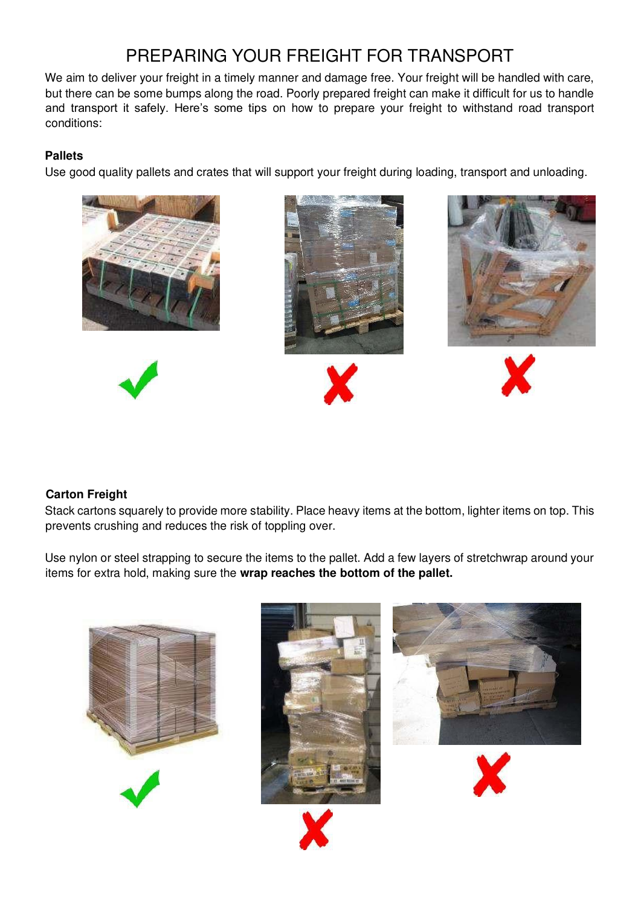## PREPARING YOUR FREIGHT FOR TRANSPORT

We aim to deliver your freight in a timely manner and damage free. Your freight will be handled with care, but there can be some bumps along the road. Poorly prepared freight can make it difficult for us to handle and transport it safely. Here's some tips on how to prepare your freight to withstand road transport conditions:

#### **Pallets**

Use good quality pallets and crates that will support your freight during loading, transport and unloading.













#### **Carton Freight**

Stack cartons squarely to provide more stability. Place heavy items at the bottom, lighter items on top. This prevents crushing and reduces the risk of toppling over.

Use nylon or steel strapping to secure the items to the pallet. Add a few layers of stretchwrap around your items for extra hold, making sure the **wrap reaches the bottom of the pallet.**

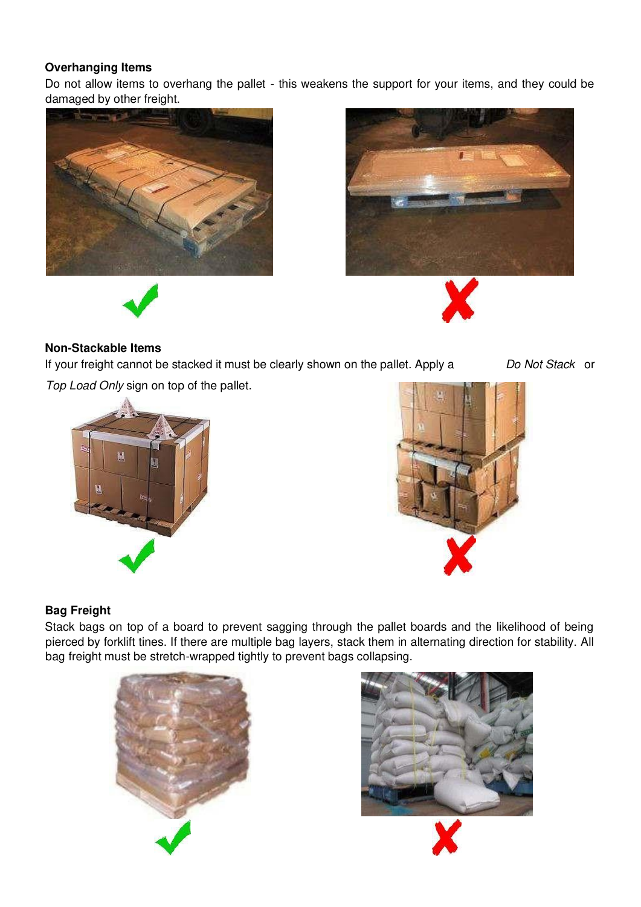#### **Overhanging Items**

Do not allow items to overhang the pallet - this weakens the support for your items, and they could be damaged by other freight.





#### **Non-Stackable Items**

If your freight cannot be stacked it must be clearly shown on the pallet. Apply a Do Not Stack or

Top Load Only sign on top of the pallet.





#### **Bag Freight**

Stack bags on top of a board to prevent sagging through the pallet boards and the likelihood of being pierced by forklift tines. If there are multiple bag layers, stack them in alternating direction for stability. All bag freight must be stretch-wrapped tightly to prevent bags collapsing.



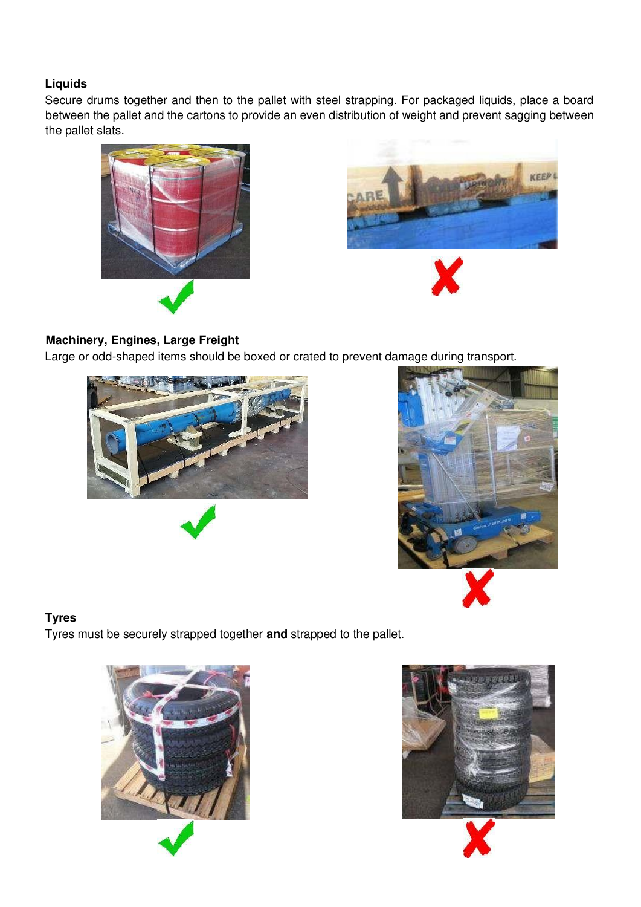#### **Liquids**

Secure drums together and then to the pallet with steel strapping. For packaged liquids, place a board between the pallet and the cartons to provide an even distribution of weight and prevent sagging between the pallet slats.





### **Machinery, Engines, Large Freight**

Large or odd-shaped items should be boxed or crated to prevent damage during transport.





#### **Tyres**

Tyres must be securely strapped together **and** strapped to the pallet.



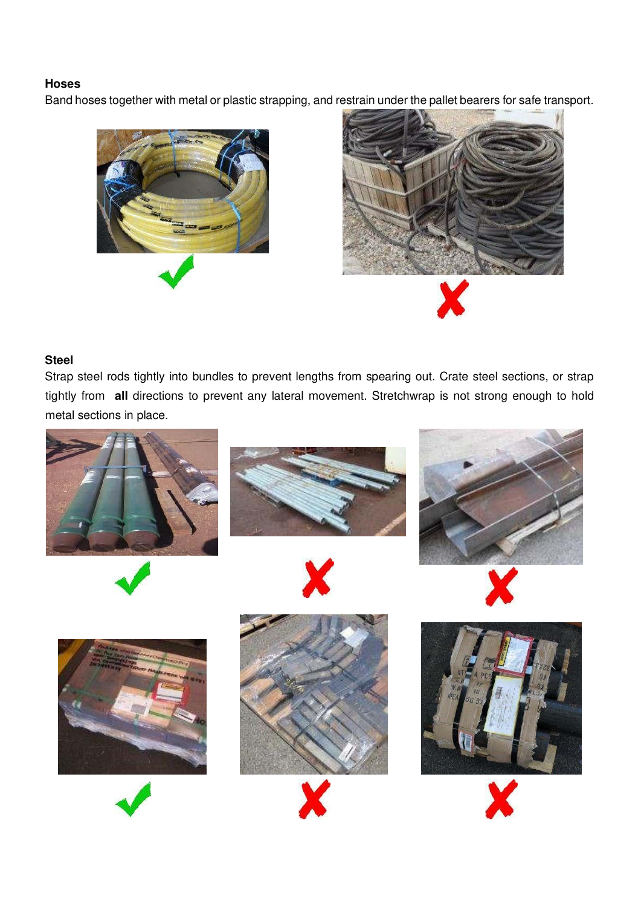#### **Hoses**

Band hoses together with metal or plastic strapping, and restrain under the pallet bearers for safe transport.





#### **Steel**

Strap steel rods tightly into bundles to prevent lengths from spearing out. Crate steel sections, or strap tightly from **all** directions to prevent any lateral movement. Stretchwrap is not strong enough to hold metal sections in place.

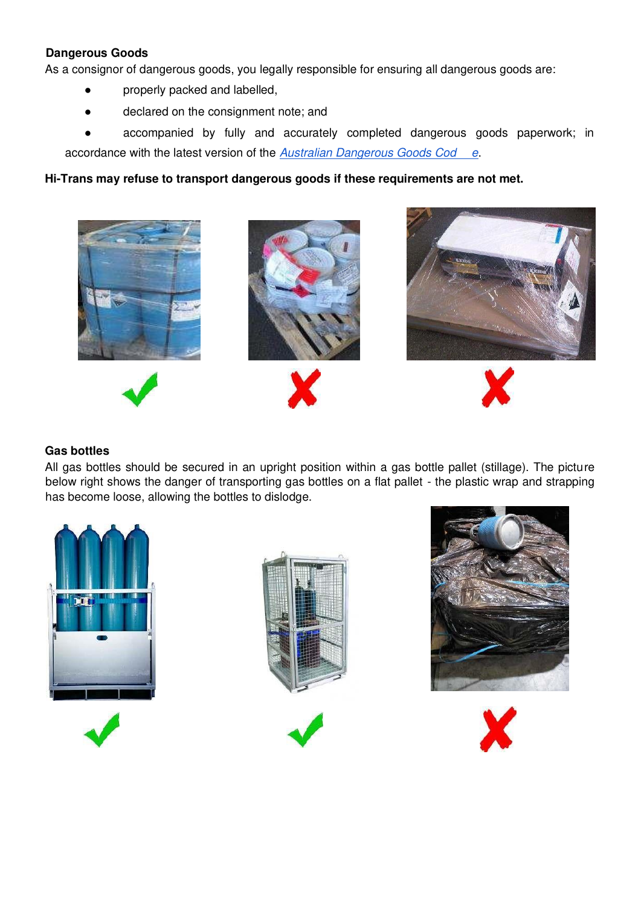#### **Dangerous Goods**

As a consignor of dangerous goods, you legally responsible for ensuring all dangerous goods are:

- properly packed and labelled,
- declared on the consignment note; and
- accompanied by fully and accurately completed dangerous goods paperwork; in accordance with the latest version of the [Australian Dangerous Goods Cod](https://www.ntc.gov.au/Media/Reports/(91D53582-C568-8B4A-6C7C-E746D36C65FD).pdf) [e](https://www.ntc.gov.au/Media/Reports/(91D53582-C568-8B4A-6C7C-E746D36C65FD).pdf).

#### **Hi-Trans may refuse to transport dangerous goods if these requirements are not met.**



#### **Gas bottles**

All gas bottles should be secured in an upright position within a gas bottle pallet (stillage). The picture below right shows the danger of transporting gas bottles on a flat pallet - the plastic wrap and strapping has become loose, allowing the bottles to dislodge.